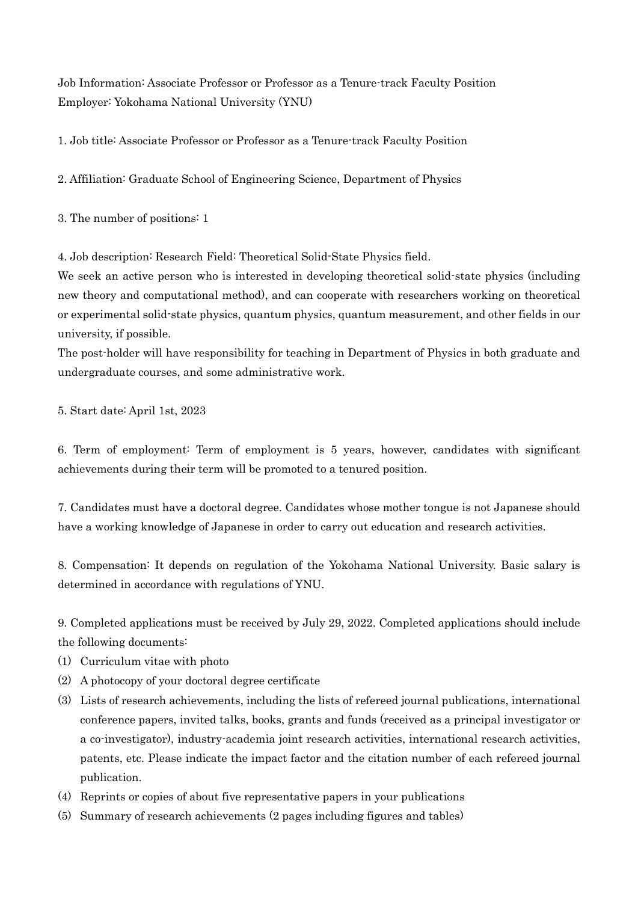Job Information: Associate Professor or Professor as a Tenure-track Faculty Position Employer: Yokohama National University (YNU)

1. Job title: Associate Professor or Professor as a Tenure-track Faculty Position

2. Affiliation: Graduate School of Engineering Science, Department of Physics

3. The number of positions: 1

4. Job description: Research Field: Theoretical Solid-State Physics field.

We seek an active person who is interested in developing theoretical solid-state physics (including new theory and computational method), and can cooperate with researchers working on theoretical or experimental solid-state physics, quantum physics, quantum measurement, and other fields in our university, if possible.

The post-holder will have responsibility for teaching in Department of Physics in both graduate and undergraduate courses, and some administrative work.

5. Start date: April 1st, 2023

6. Term of employment: Term of employment is 5 years, however, candidates with significant achievements during their term will be promoted to a tenured position.

7. Candidates must have a doctoral degree. Candidates whose mother tongue is not Japanese should have a working knowledge of Japanese in order to carry out education and research activities.

8. Compensation: It depends on regulation of the Yokohama National University. Basic salary is determined in accordance with regulations of YNU.

9. Completed applications must be received by July 29, 2022. Completed applications should include the following documents:

- (1) Curriculum vitae with photo
- (2) A photocopy of your doctoral degree certificate
- (3) Lists of research achievements, including the lists of refereed journal publications, international conference papers, invited talks, books, grants and funds (received as a principal investigator or a co-investigator), industry-academia joint research activities, international research activities, patents, etc. Please indicate the impact factor and the citation number of each refereed journal publication.
- (4) Reprints or copies of about five representative papers in your publications
- (5) Summary of research achievements (2 pages including figures and tables)